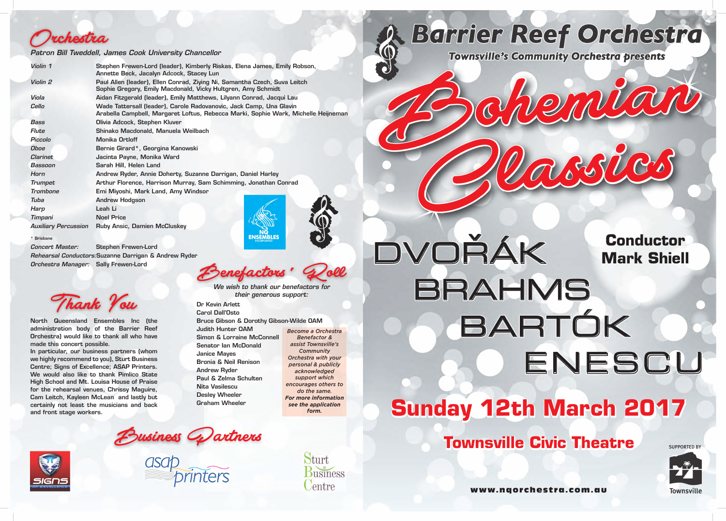

# **Sunday 12th March 2017 DENESCU** BARTÓK

*Concert Master:* Stephen Frewen-Lord *Rehearsal Conductors:*Suzanne Darrigan & Andrew Ryder *Orchestra Manager:* Sally Frewen-Lord

> Dr Kevin Arlett Carol Dall'Osto

Bruce Gibson & Dorothy Gibson-Wilde OAM

enefactors' C

Judith Hunter OAM

Simon & Lorraine McConnell

Senator Ian McDonald

Janice Mayes

| Violin 1                    | Stephen Frewen-Lord (leader), Kimberly Riskas, Elena James, Emily Robson,<br>Annette Beck, Jacalyn Adcock, Stacey Lun                                     |
|-----------------------------|-----------------------------------------------------------------------------------------------------------------------------------------------------------|
| Violin 2                    | Paul Allen (leader), Ellen Conrad, Ziying Ni, Samantha Czech, Suva Leitch<br>Sophie Gregory, Emily Macdonald, Vicky Hultgren, Amy Schmidt                 |
| Viola                       | Aidan Fitzgerald (leader), Emily Matthews, Lilyann Conrad, Jacqui Lau                                                                                     |
| Cello                       | Wade Tattersall (leader), Carole Radovanovic, Jack Camp, Una Glavin<br>Arabella Campbell, Margaret Loftus, Rebecca Marki, Sophie Wark, Michelle Heijneman |
| Bass                        | Olivia Adcock, Stephen Kluver                                                                                                                             |
| Flute                       | Shinako Macdonald, Manuela Weilbach                                                                                                                       |
| Piccolo                     | <b>Monika Ortloff</b>                                                                                                                                     |
| <b>Oboe</b>                 | Bernie Girard*, Georgina Kanowski                                                                                                                         |
| <b>Clarinet</b>             | Jacinta Payne, Monika Ward                                                                                                                                |
| Bassoon                     | Sarah Hill, Helen Land                                                                                                                                    |
| Horn                        | Andrew Ryder, Annie Doherty, Suzanne Darrigan, Daniel Harley                                                                                              |
| <b>Trumpet</b>              | Arthur Florence, Harrison Murray, Sam Schimming, Jonathan Conrad                                                                                          |
| <b>Trombone</b>             | Emi Miyoshi, Mark Land, Amy Windsor                                                                                                                       |
| Tuba                        | <b>Andrew Hodgson</b>                                                                                                                                     |
| Harp                        | Leah Li                                                                                                                                                   |
| Timpani                     | <b>Noel Price</b>                                                                                                                                         |
| <b>Auxiliary Percussion</b> | <b>Ruby Ansic, Damien McCluskey</b>                                                                                                                       |
| * Brisbane                  |                                                                                                                                                           |

Bronia & Neil Renison

asab<br>asab *~ pnnters* 

Andrew Ryder

Paul & Zelma Schulten

Nita Vasilescu Desley Wheeler Graham Wheeler

*Become a Orchestra Benefactor & assist Townsville's Community Orchestra with your personal & publicly acknowledged support which encourages others to do the same. For more information see the application form.*

DVOŘÁK BRAHMS BARTÓK **BRAHMS** 

*We wish to thank our benefactors for their generous support:*





www.nqorchestra.com.au



**Townsville Civic Theatre**





# **Conductor Mark Shiell**

North Queensland Ensembles Inc (the administration body of the Barrier Reef Orchestra) would like to thank all who have made this concert possible.

In particular, our business partners (whom we highly recommend to you), Sturt Business Centre; Signs of Excellence; ASAP Printers. We would also like to thank Pimlico State High School and Mt. Louisa House of Praise for the rehearsal venues, Chrissy Maguire, Cam Leitch, Kayleen McLean and lastly but certainly not least the musicians and back and front stage workers.



#### *Patron Bill Tweddell, James Cook University Chancellor*



*/7* 

**SUPPORTED BY**